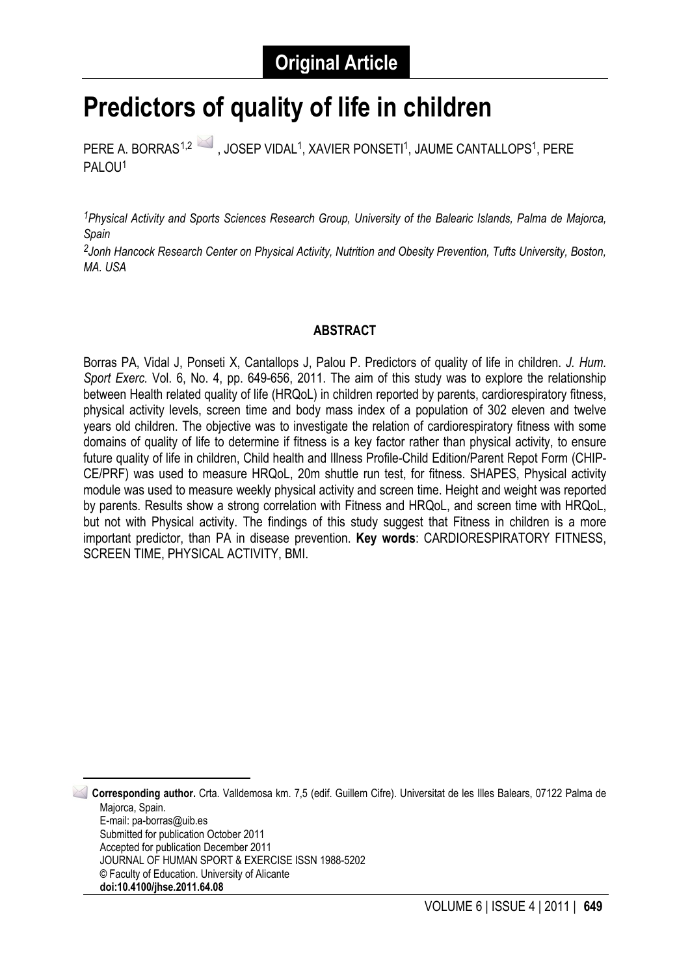# **Predictors of quality of life in children**

PERE A. BORRAS<sup>[1,](#page-0-0)2</sup> , JOSEP VIDAL<sup>1</sup>, XAVIER PONSETI<sup>1</sup>, JAUME CANTALLOPS<sup>1</sup>, PERE PALOU1

*1Physical Activity and Sports Sciences Research Group, University of the Balearic Islands, Palma de Majorca, Spain*

*2Jonh Hancock Research Center on Physical Activity, Nutrition and Obesity Prevention, Tufts University, Boston, MA. USA*

#### **ABSTRACT**

Borras PA, Vidal J, Ponseti X, Cantallops J, Palou P. Predictors of quality of life in children. *J. Hum. Sport Exerc.* Vol. 6, No. 4, pp. 649-656, 2011. The aim of this study was to explore the relationship between Health related quality of life (HRQoL) in children reported by parents, cardiorespiratory fitness, physical activity levels, screen time and body mass index of a population of 302 eleven and twelve years old children. The objective was to investigate the relation of cardiorespiratory fitness with some domains of quality of life to determine if fitness is a key factor rather than physical activity, to ensure future quality of life in children, Child health and Illness Profile-Child Edition/Parent Repot Form (CHIP-CE/PRF) was used to measure HRQoL, 20m shuttle run test, for fitness. SHAPES, Physical activity module was used to measure weekly physical activity and screen time. Height and weight was reported by parents. Results show a strong correlation with Fitness and HRQoL, and screen time with HRQoL, but not with Physical activity. The findings of this study suggest that Fitness in children is a more important predictor, than PA in disease prevention. **Key words**: CARDIORESPIRATORY FITNESS, SCREEN TIME, PHYSICAL ACTIVITY, BMI.

<span id="page-0-0"></span> 1 **Corresponding author.** Crta. Valldemosa km. 7,5 (edif. Guillem Cifre). Universitat de les Illes Balears, 07122 Palma de Majorca, Spain. E-mail: pa-borras@uib.es Submitted for publication October 2011 Accepted for publication December 2011 JOURNAL OF HUMAN SPORT & EXERCISE ISSN 1988-5202 © Faculty of Education. University of Alicante **doi:10.4100/jhse.2011.64.08**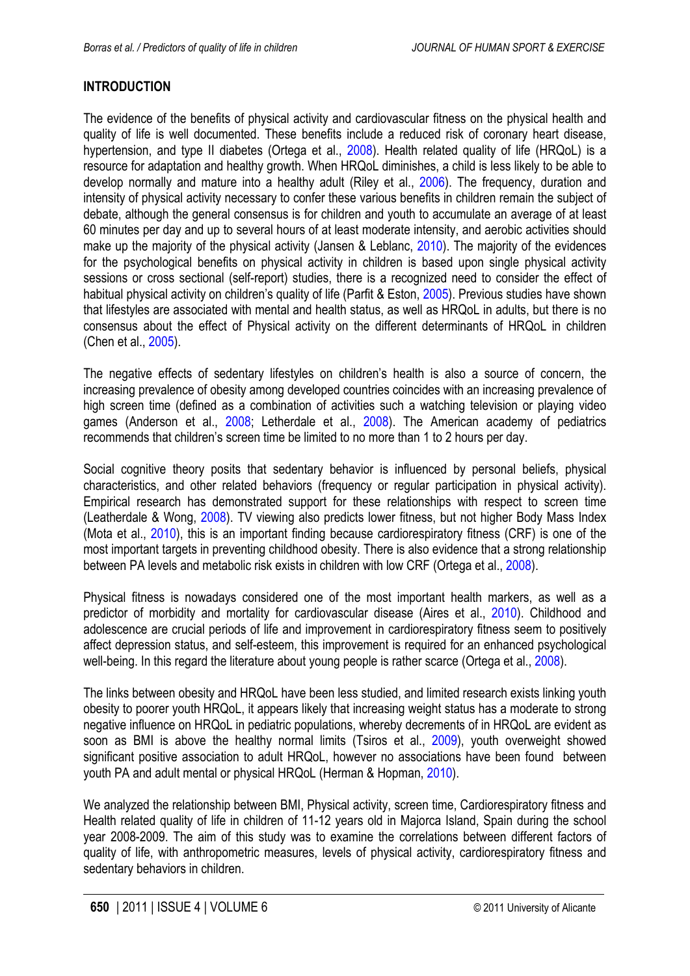# <span id="page-1-0"></span>**INTRODUCTION**

The evidence of the benefits of physical activity and cardiovascular fitness on the physical health and quality of life is well documented. These benefits include a reduced risk of coronary heart disease, hypertension, and type II diabetes (Ortega et al., [2008](#page-7-0)). Health related quality of life (HRQoL) is a resource for adaptation and healthy growth. When HRQoL diminishes, a child is less likely to be able to develop normally and mature into a healthy adult (Riley et al., [2006](#page-7-0)). The frequency, duration and intensity of physical activity necessary to confer these various benefits in children remain the subject of debate, although the general consensus is for children and youth to accumulate an average of at least 60 minutes per day and up to several hours of at least moderate intensity, and aerobic activities should make up the majority of the physical activity (Jansen & Leblanc, [2010](#page-6-0)). The majority of the evidences for the psychological benefits on physical activity in children is based upon single physical activity sessions or cross sectional (self-report) studies, there is a recognized need to consider the effect of habitual physical activity on children's quality of life (Parfit & Eston, [2005](#page-7-0)). Previous studies have shown that lifestyles are associated with mental and health status, as well as HRQoL in adults, but there is no consensus about the effect of Physical activity on the different determinants of HRQoL in children (Chen et al., [2005](#page-6-0)).

The negative effects of sedentary lifestyles on children's health is also a source of concern, the increasing prevalence of obesity among developed countries coincides with an increasing prevalence of high screen time (defined as a combination of activities such a watching television or playing video games (Anderson et al., [2008;](#page-6-0) Letherdale et al., [2008](#page-6-0)). The American academy of pediatrics recommends that children's screen time be limited to no more than 1 to 2 hours per day.

Social cognitive theory posits that sedentary behavior is influenced by personal beliefs, physical characteristics, and other related behaviors (frequency or regular participation in physical activity). Empirical research has demonstrated support for these relationships with respect to screen time (Leatherdale & Wong, [2008](#page-6-0)). TV viewing also predicts lower fitness, but not higher Body Mass Index (Mota et al., [2010](#page-6-0)), this is an important finding because cardiorespiratory fitness (CRF) is one of the most important targets in preventing childhood obesity. There is also evidence that a strong relationship between PA levels and metabolic risk exists in children with low CRF (Ortega et al., [2008\)](#page-7-0).

Physical fitness is nowadays considered one of the most important health markers, as well as a predictor of morbidity and mortality for cardiovascular disease (Aires et al., [2010](#page-6-0)). Childhood and adolescence are crucial periods of life and improvement in cardiorespiratory fitness seem to positively affect depression status, and self-esteem, this improvement is required for an enhanced psychological well-being. In this regard the literature about young people is rather scarce (Ortega et al., [2008](#page-7-0)).

The links between obesity and HRQoL have been less studied, and limited research exists linking youth obesity to poorer youth HRQoL, it appears likely that increasing weight status has a moderate to strong negative influence on HRQoL in pediatric populations, whereby decrements of in HRQoL are evident as soon as BMI is above the healthy normal limits (Tsiros et al., [2009\)](#page-7-0), youth overweight showed significant positive association to adult HRQoL, however no associations have been found between youth PA and adult mental or physical HRQoL (Herman & Hopman, [2010](#page-6-0)).

We analyzed the relationship between BMI, Physical activity, screen time, Cardiorespiratory fitness and Health related quality of life in children of 11-12 years old in Majorca Island, Spain during the school year 2008-2009. The aim of this study was to examine the correlations between different factors of quality of life, with anthropometric measures, levels of physical activity, cardiorespiratory fitness and sedentary behaviors in children.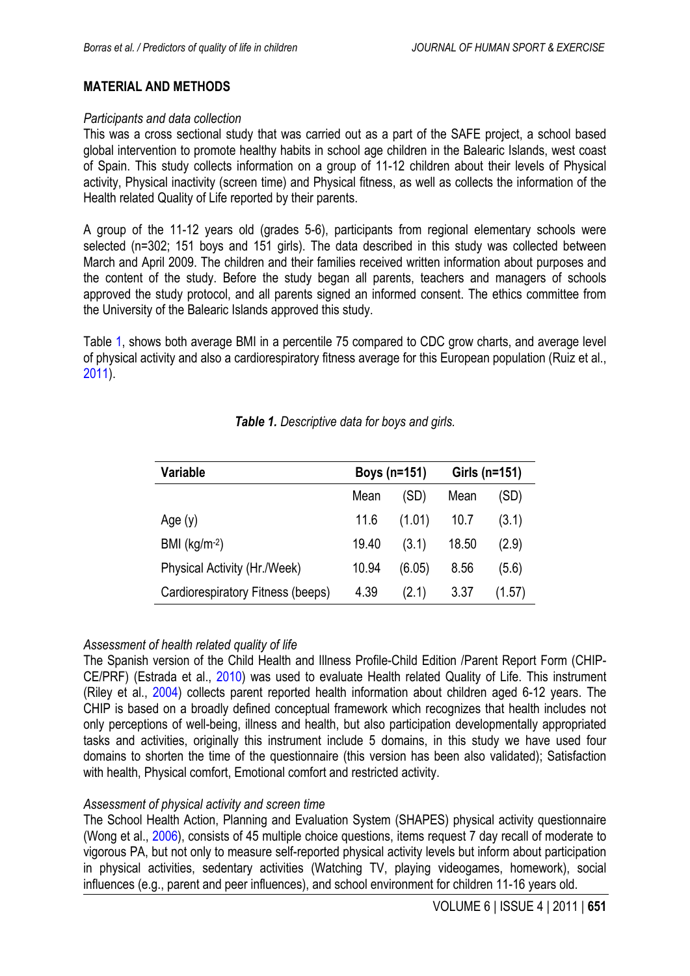## <span id="page-2-0"></span>**MATERIAL AND METHODS**

#### *Participants and data collection*

This was a cross sectional study that was carried out as a part of the SAFE project, a school based global intervention to promote healthy habits in school age children in the Balearic Islands, west coast of Spain. This study collects information on a group of 11-12 children about their levels of Physical activity, Physical inactivity (screen time) and Physical fitness, as well as collects the information of the Health related Quality of Life reported by their parents.

A group of the 11-12 years old (grades 5-6), participants from regional elementary schools were selected (n=302; 151 boys and 151 girls). The data described in this study was collected between March and April 2009. The children and their families received written information about purposes and the content of the study. Before the study began all parents, teachers and managers of schools approved the study protocol, and all parents signed an informed consent. The ethics committee from the University of the Balearic Islands approved this study.

Table 1, shows both average BMI in a percentile 75 compared to CDC grow charts, and average level of physical activity and also a cardiorespiratory fitness average for this European population (Ruiz et al., [2011\)](#page-7-0).

| Variable                          | Boys (n=151) |        | Girls (n=151) |        |
|-----------------------------------|--------------|--------|---------------|--------|
|                                   | Mean         | (SD)   | Mean          | (SD)   |
| Age $(y)$                         | 11.6         | (1.01) | 10.7          | (3.1)  |
| BMI $(kg/m-2)$                    | 19.40        | (3.1)  | 18.50         | (2.9)  |
| Physical Activity (Hr./Week)      | 10.94        | (6.05) | 8.56          | (5.6)  |
| Cardiorespiratory Fitness (beeps) | 4.39         | (2.1)  | 3.37          | (1.57) |

#### *Table 1. Descriptive data for boys and girls.*

#### *Assessment of health related quality of life*

The Spanish version of the Child Health and Illness Profile-Child Edition /Parent Report Form (CHIP-CE/PRF) (Estrada et al., [2010\)](#page-6-0) was used to evaluate Health related Quality of Life. This instrument (Riley et al., [2004\)](#page-7-0) collects parent reported health information about children aged 6-12 years. The CHIP is based on a broadly defined conceptual framework which recognizes that health includes not only perceptions of well-being, illness and health, but also participation developmentally appropriated tasks and activities, originally this instrument include 5 domains, in this study we have used four domains to shorten the time of the questionnaire (this version has been also validated); Satisfaction with health, Physical comfort, Emotional comfort and restricted activity.

## *Assessment of physical activity and screen time*

The School Health Action, Planning and Evaluation System (SHAPES) physical activity questionnaire (Wong et al., [2006](#page-7-0)), consists of 45 multiple choice questions, items request 7 day recall of moderate to vigorous PA, but not only to measure self-reported physical activity levels but inform about participation in physical activities, sedentary activities (Watching TV, playing videogames, homework), social influences (e.g., parent and peer influences), and school environment for children 11-16 years old.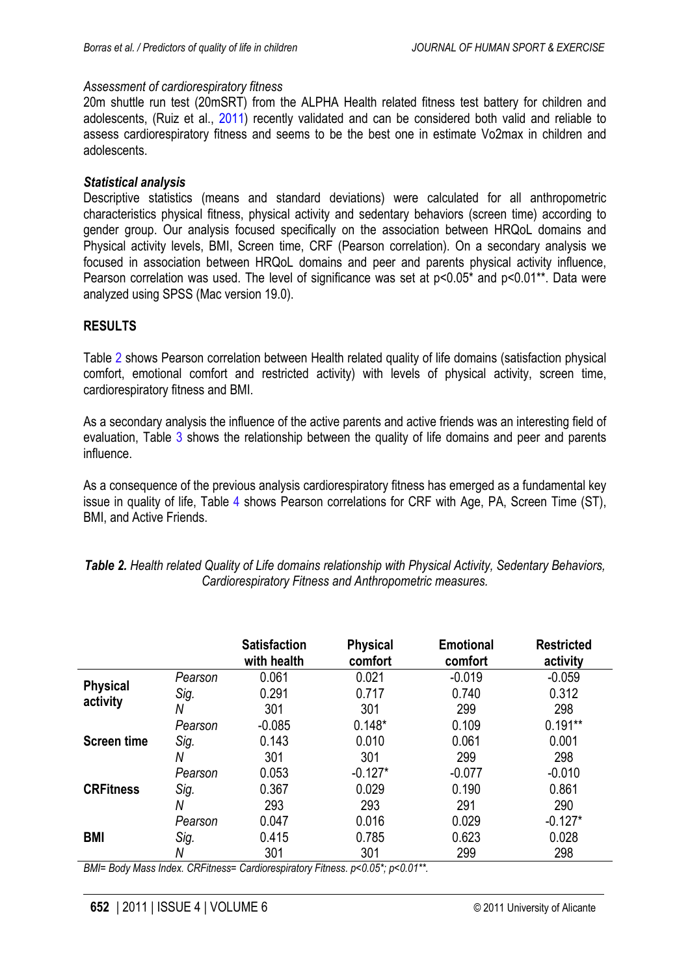#### <span id="page-3-0"></span>*Assessment of cardiorespiratory fitness*

20m shuttle run test (20mSRT) from the ALPHA Health related fitness test battery for children and adolescents, (Ruiz et al., [2011\)](#page-7-0) recently validated and can be considered both valid and reliable to assess cardiorespiratory fitness and seems to be the best one in estimate Vo2max in children and adolescents.

#### *Statistical analysis*

Descriptive statistics (means and standard deviations) were calculated for all anthropometric characteristics physical fitness, physical activity and sedentary behaviors (screen time) according to gender group. Our analysis focused specifically on the association between HRQoL domains and Physical activity levels, BMI, Screen time, CRF (Pearson correlation). On a secondary analysis we focused in association between HRQoL domains and peer and parents physical activity influence, Pearson correlation was used. The level of significance was set at  $p<0.05^*$  and  $p<0.01^{**}$ . Data were analyzed using SPSS (Mac version 19.0).

## **RESULTS**

Table 2 shows Pearson correlation between Health related quality of life domains (satisfaction physical comfort, emotional comfort and restricted activity) with levels of physical activity, screen time, cardiorespiratory fitness and BMI.

As a secondary analysis the influence of the active parents and active friends was an interesting field of evaluation, Table [3](#page-4-0) shows the relationship between the quality of life domains and peer and parents influence.

As a consequence of the previous analysis cardiorespiratory fitness has emerged as a fundamental key issue in quality of life, Table [4](#page-5-0) shows Pearson correlations for CRF with Age, PA, Screen Time (ST), BMI, and Active Friends.

|                             |         | <b>Satisfaction</b><br>with health | <b>Physical</b><br>comfort | <b>Emotional</b><br>comfort | <b>Restricted</b><br>activity |
|-----------------------------|---------|------------------------------------|----------------------------|-----------------------------|-------------------------------|
|                             | Pearson | 0.061                              | 0.021                      | $-0.019$                    | $-0.059$                      |
| <b>Physical</b><br>activity | Sig.    | 0.291                              | 0.717                      | 0.740                       | 0.312                         |
|                             | N       | 301                                | 301                        | 299                         | 298                           |
|                             | Pearson | $-0.085$                           | $0.148*$                   | 0.109                       | $0.191**$                     |
| <b>Screen time</b>          | Sig.    | 0.143                              | 0.010                      | 0.061                       | 0.001                         |
|                             | N       | 301                                | 301                        | 299                         | 298                           |
|                             | Pearson | 0.053                              | $-0.127*$                  | $-0.077$                    | $-0.010$                      |
| <b>CRFitness</b>            | Sig.    | 0.367                              | 0.029                      | 0.190                       | 0.861                         |
|                             | N       | 293                                | 293                        | 291                         | 290                           |
|                             | Pearson | 0.047                              | 0.016                      | 0.029                       | $-0.127*$                     |
| <b>BMI</b>                  | Sig.    | 0.415                              | 0.785                      | 0.623                       | 0.028                         |
|                             | N       | 301                                | 301                        | 299                         | 298                           |

*Table 2. Health related Quality of Life domains relationship with Physical Activity, Sedentary Behaviors, Cardiorespiratory Fitness and Anthropometric measures.*

*BMI= Body Mass Index. CRFitness= Cardiorespiratory Fitness. p<0.05\*; p<0.01\*\*.*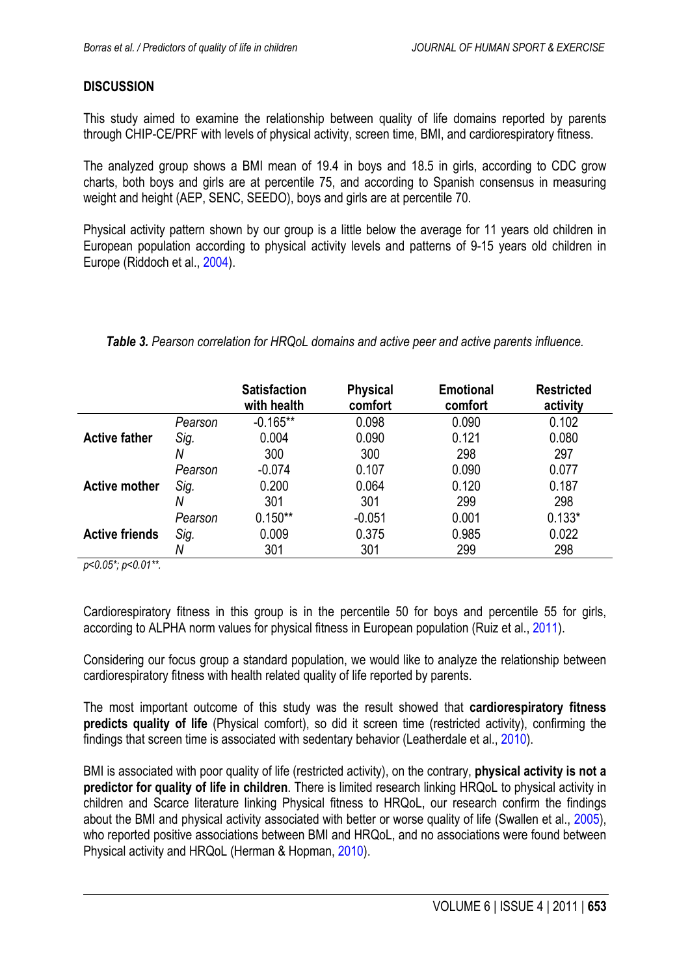# <span id="page-4-0"></span>**DISCUSSION**

This study aimed to examine the relationship between quality of life domains reported by parents through CHIP-CE/PRF with levels of physical activity, screen time, BMI, and cardiorespiratory fitness.

The analyzed group shows a BMI mean of 19.4 in boys and 18.5 in girls, according to CDC grow charts, both boys and girls are at percentile 75, and according to Spanish consensus in measuring weight and height (AEP, SENC, SEEDO), boys and girls are at percentile 70.

Physical activity pattern shown by our group is a little below the average for 11 years old children in European population according to physical activity levels and patterns of 9-15 years old children in Europe (Riddoch et al., [2004](#page-7-0)).

|                       |         | <b>Satisfaction</b><br>with health | <b>Physical</b><br>comfort | <b>Emotional</b><br>comfort | <b>Restricted</b><br>activity |
|-----------------------|---------|------------------------------------|----------------------------|-----------------------------|-------------------------------|
|                       | Pearson | $-0.165**$                         | 0.098                      | 0.090                       | 0.102                         |
| <b>Active father</b>  | Sig.    | 0.004                              | 0.090                      | 0.121                       | 0.080                         |
|                       | Ν       | 300                                | 300                        | 298                         | 297                           |
|                       | Pearson | $-0.074$                           | 0.107                      | 0.090                       | 0.077                         |
| <b>Active mother</b>  | Sig.    | 0.200                              | 0.064                      | 0.120                       | 0.187                         |
|                       | Ν       | 301                                | 301                        | 299                         | 298                           |
|                       | Pearson | $0.150**$                          | $-0.051$                   | 0.001                       | $0.133*$                      |
| <b>Active friends</b> | Sig.    | 0.009                              | 0.375                      | 0.985                       | 0.022                         |
|                       | Ν       | 301                                | 301                        | 299                         | 298                           |

#### *Table 3. Pearson correlation for HRQoL domains and active peer and active parents influence.*

*p<0.05\*; p<0.01\*\*.*

Cardiorespiratory fitness in this group is in the percentile 50 for boys and percentile 55 for girls, according to ALPHA norm values for physical fitness in European population (Ruiz et al., [2011\)](#page-7-0).

Considering our focus group a standard population, we would like to analyze the relationship between cardiorespiratory fitness with health related quality of life reported by parents.

The most important outcome of this study was the result showed that **cardiorespiratory fitness predicts quality of life** (Physical comfort), so did it screen time (restricted activity), confirming the findings that screen time is associated with sedentary behavior (Leatherdale et al., [2010](#page-6-0)).

BMI is associated with poor quality of life (restricted activity), on the contrary, **physical activity is not a predictor for quality of life in children**. There is limited research linking HRQoL to physical activity in children and Scarce literature linking Physical fitness to HRQoL, our research confirm the findings about the BMI and physical activity associated with better or worse quality of life (Swallen et al., [2005](#page-7-0)), who reported positive associations between BMI and HRQoL, and no associations were found between Physical activity and HRQoL (Herman & Hopman, [2010\)](#page-6-0).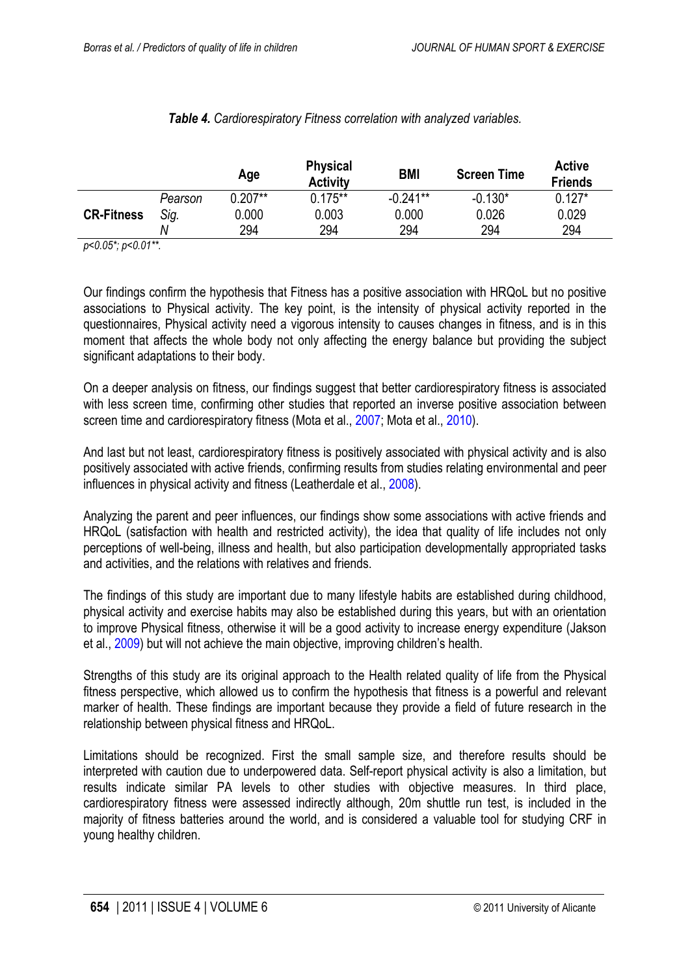<span id="page-5-0"></span>

|                   |         | Age       | <b>Physical</b><br><b>Activity</b> | <b>BMI</b> | <b>Screen Time</b> | <b>Active</b><br><b>Friends</b> |
|-------------------|---------|-----------|------------------------------------|------------|--------------------|---------------------------------|
|                   | Pearson | $0.207**$ | $0.175***$                         | $-0.241**$ | $-0.130*$          | $0.127*$                        |
| <b>CR-Fitness</b> | Sig.    | 0.000     | 0.003                              | 0.000      | 0.026              | 0.029                           |
|                   | Ν       | 294       | 294                                | 294        | 294                | 294                             |

## *Table 4. Cardiorespiratory Fitness correlation with analyzed variables.*

*p<0.05\*; p<0.01\*\*.*

Our findings confirm the hypothesis that Fitness has a positive association with HRQoL but no positive associations to Physical activity. The key point, is the intensity of physical activity reported in the questionnaires, Physical activity need a vigorous intensity to causes changes in fitness, and is in this moment that affects the whole body not only affecting the energy balance but providing the subject significant adaptations to their body.

On a deeper analysis on fitness, our findings suggest that better cardiorespiratory fitness is associated with less screen time, confirming other studies that reported an inverse positive association between screen time and cardiorespiratory fitness (Mota et al., [2007;](#page-6-0) Mota et al., [2010](#page-6-0)).

And last but not least, cardiorespiratory fitness is positively associated with physical activity and is also positively associated with active friends, confirming results from studies relating environmental and peer influences in physical activity and fitness (Leatherdale et al., [2008\)](#page-6-0).

Analyzing the parent and peer influences, our findings show some associations with active friends and HRQoL (satisfaction with health and restricted activity), the idea that quality of life includes not only perceptions of well-being, illness and health, but also participation developmentally appropriated tasks and activities, and the relations with relatives and friends.

The findings of this study are important due to many lifestyle habits are established during childhood, physical activity and exercise habits may also be established during this years, but with an orientation to improve Physical fitness, otherwise it will be a good activity to increase energy expenditure (Jakson et al., [2009\)](#page-6-0) but will not achieve the main objective, improving children's health.

Strengths of this study are its original approach to the Health related quality of life from the Physical fitness perspective, which allowed us to confirm the hypothesis that fitness is a powerful and relevant marker of health. These findings are important because they provide a field of future research in the relationship between physical fitness and HRQoL.

Limitations should be recognized. First the small sample size, and therefore results should be interpreted with caution due to underpowered data. Self-report physical activity is also a limitation, but results indicate similar PA levels to other studies with objective measures. In third place, cardiorespiratory fitness were assessed indirectly although, 20m shuttle run test, is included in the majority of fitness batteries around the world, and is considered a valuable tool for studying CRF in young healthy children.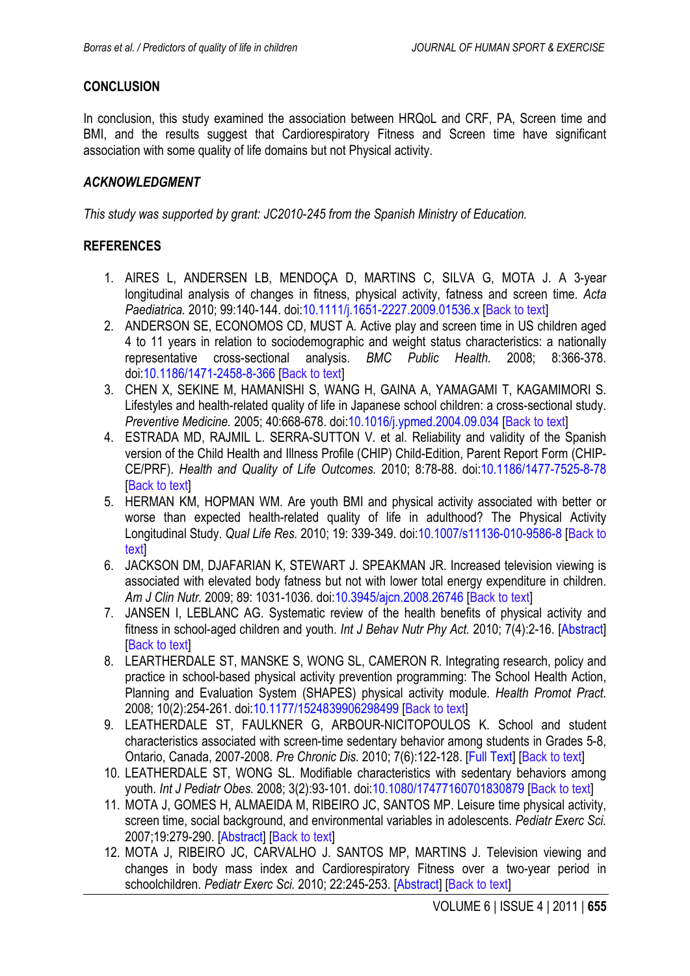# <span id="page-6-0"></span>**CONCLUSION**

In conclusion, this study examined the association between HRQoL and CRF, PA, Screen time and BMI, and the results suggest that Cardiorespiratory Fitness and Screen time have significant association with some quality of life domains but not Physical activity.

## *ACKNOWLEDGMENT*

*This study was supported by grant: JC2010-245 from the Spanish Ministry of Education.*

#### **REFERENCES**

- 1. AIRES L, ANDERSEN LB, MENDOÇA D, MARTINS C, SILVA G, MOTA J. A 3-year longitudinal analysis of changes in fitness, physical activity, fatness and screen time. *Acta Paediatrica.* 2010; 99:140-144. doi[:10.1111/j.1651-2227.2009.01536.x](http://dx.doi.org/10.1111/j.1651-2227.2009.01536.x) [\[Back to text\]](#page-1-0)
- 2. ANDERSON SE, ECONOMOS CD, MUST A. Active play and screen time in US children aged 4 to 11 years in relation to sociodemographic and weight status characteristics: a nationally representative cross-sectional analysis. *BMC Public Health.* 2008; 8:366-378. doi[:10.1186/1471-2458-8-366](http://dx.doi.org/10.1186/1471-2458-8-366) [\[Back to text\]](#page-1-0)
- 3. CHEN X, SEKINE M, HAMANISHI S, WANG H, GAINA A, YAMAGAMI T, KAGAMIMORI S. Lifestyles and health-related quality of life in Japanese school children: a cross-sectional study. *Preventive Medicine.* 2005; 40:668-678. doi[:10.1016/j.ypmed.2004.09.034](http://dx.doi.org/10.1016/j.ypmed.2004.09.034) [\[Back to text\]](#page-1-0)
- 4. ESTRADA MD, RAJMIL L. SERRA-SUTTON V. et al. Reliability and validity of the Spanish version of the Child Health and Illness Profile (CHIP) Child-Edition, Parent Report Form (CHIP-CE/PRF). *Health and Quality of Life Outcomes.* 2010; 8:78-88. doi[:10.1186/1477-7525-8-78](http://dx.doi.org/10.1186/1477-7525-8-78) **I[Back to text](#page-2-0)l**
- 5. HERMAN KM, HOPMAN WM. Are youth BMI and physical activity associated with better or worse than expected health-related quality of life in adulthood? The Physical Activity Longitudinal Study. *Qual Life Res.* 2010; 19: 339-349. doi[:10.1007/s11136-010-9586-8](http://dx.doi.org/10.1007/s11136-010-9586-8) [\[Back to](#page-1-0) [text\]](#page-1-0)
- 6. JACKSON DM, DJAFARIAN K, STEWART J. SPEAKMAN JR. Increased television viewing is associated with elevated body fatness but not with lower total energy expenditure in children. *Am J Clin Nutr.* 2009; 89: 1031-1036. doi[:10.3945/ajcn.2008.26746](http://dx.doi.org/10.3945/ajcn.2008.26746) [[Back to text](#page-5-0)]
- 7. JANSEN I, LEBLANC AG. Systematic review of the health benefits of physical activity and fitness in school-aged children and youth. *Int J Behav Nutr Phy Act.* 2010; 7(4):2-16. [\[Abstract\]](http://www.ncbi.nlm.nih.gov/pubmed/20459784) **I[Back to text](#page-1-0)l**
- 8. LEARTHERDALE ST, MANSKE S, WONG SL, CAMERON R. Integrating research, policy and practice in school-based physical activity prevention programming: The School Health Action, Planning and Evaluation System (SHAPES) physical activity module. *Health Promot Pract.* 2008; 10(2):254-261. doi[:10.1177/1524839906298499](http://dx.doi.org/%2010.1177/1524839906298499) [[Back to text](#page-1-0)]
- 9. LEATHERDALE ST, FAULKNER G, ARBOUR-NICITOPOULOS K. School and student characteristics associated with screen-time sedentary behavior among students in Grades 5-8, Ontario, Canada, 2007-2008. *Pre Chronic Dis.* 2010; 7(6):122-128. [\[Full Text\]](http://www.ncbi.nlm.nih.gov/pmc/articles/PMC2995602/) [\[Back to text\]](#page-4-0)
- 10. LEATHERDALE ST, WONG SL. Modifiable characteristics with sedentary behaviors among youth. *Int J Pediatr Obes.* 2008; 3(2):93-101. doi[:10.1080/17477160701830879](http://dx.doi.org/10.1080/17477160701830879) [\[Back to text\]](#page-1-0)
- 11. MOTA J, GOMES H, ALMAEIDA M, RIBEIRO JC, SANTOS MP. Leisure time physical activity, screen time, social background, and environmental variables in adolescents. *Pediatr Exerc Sci.*  2007;19:279-290. [\[Abstract\]](http://www.ncbi.nlm.nih.gov/pubmed/18019587) [[Back to text](#page-5-0)]
- 12. MOTA J, RIBEIRO JC, CARVALHO J. SANTOS MP, MARTINS J. Television viewing and changes in body mass index and Cardiorespiratory Fitness over a two-year period in schoolchildren. *Pediatr Exerc Sci.* 2010; 22:245-253. [\[Abstract\]](http://www.ncbi.nlm.nih.gov/pubmed/20567045) [[Back to text](#page-1-0)]